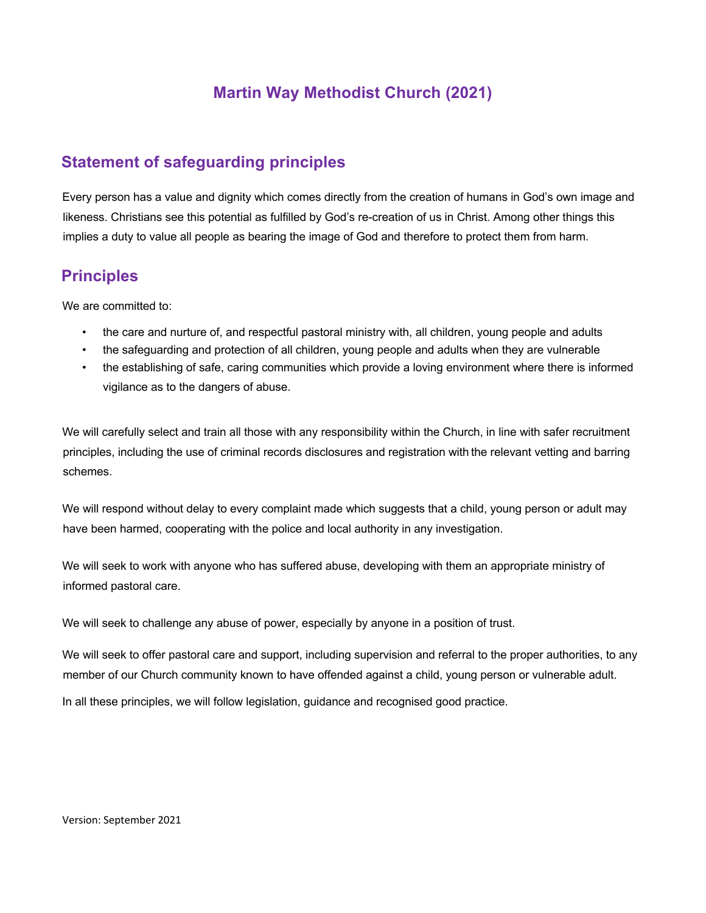# **Martin Way Methodist Church (2021)**

# **Statement of safeguarding principles**

Every person has a value and dignity which comes directly from the creation of humans in God's own image and likeness. Christians see this potential as fulfilled by God's re-creation of us in Christ. Among other things this implies a duty to value all people as bearing the image of God and therefore to protect them from harm.

## **Principles**

We are committed to:

- the care and nurture of, and respectful pastoral ministry with, all children, young people and adults
- the safeguarding and protection of all children, young people and adults when they are vulnerable
- the establishing of safe, caring communities which provide a loving environment where there is informed vigilance as to the dangers of abuse.

We will carefully select and train all those with any responsibility within the Church, in line with safer recruitment principles, including the use of criminal records disclosures and registration with the relevant vetting and barring schemes.

We will respond without delay to every complaint made which suggests that a child, young person or adult may have been harmed, cooperating with the police and local authority in any investigation.

We will seek to work with anyone who has suffered abuse, developing with them an appropriate ministry of informed pastoral care.

We will seek to challenge any abuse of power, especially by anyone in a position of trust.

We will seek to offer pastoral care and support, including supervision and referral to the proper authorities, to any member of our Church community known to have offended against a child, young person or vulnerable adult. In all these principles, we will follow legislation, guidance and recognised good practice.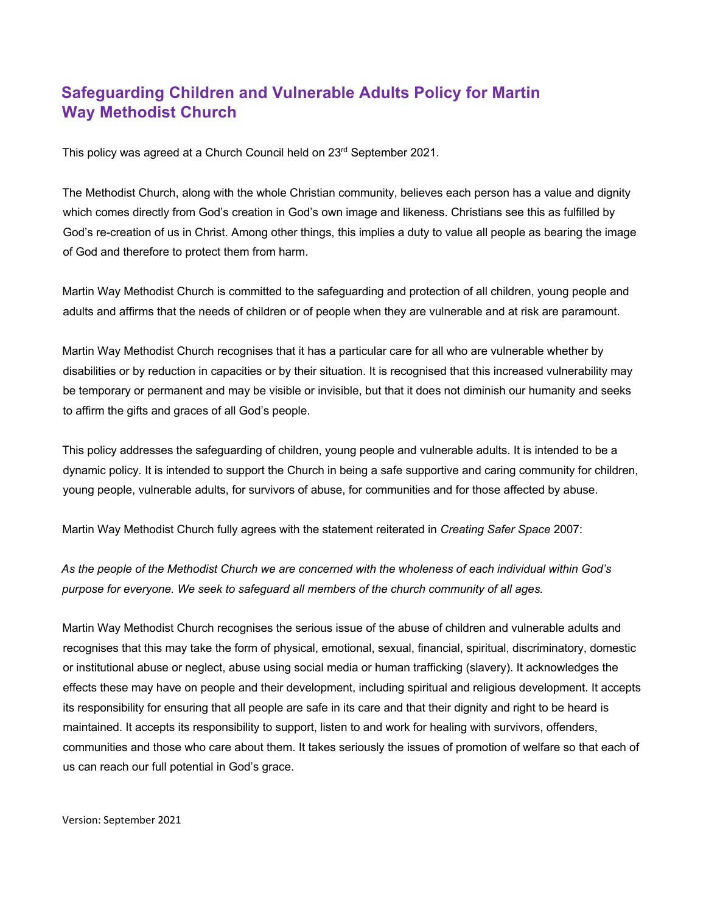# **Safeguarding Children and Vulnerable Adults Policy for Martin Way Methodist Church**

This policy was agreed at a Church Council held on 23rd September 2021.

The Methodist Church, along with the whole Christian community, believes each person has a value and dignity which comes directly from God's creation in God's own image and likeness. Christians see this as fulfilled by God's re-creation of us in Christ. Among other things, this implies a duty to value all people as bearing the image of God and therefore to protect them from harm.

Martin Way Methodist Church is committed to the safeguarding and protection of all children, young people and adults and affirms that the needs of children or of people when they are vulnerable and at risk are paramount.

Martin Way Methodist Church recognises that it has a particular care for all who are vulnerable whether by disabilities or by reduction in capacities or by their situation. It is recognised that this increased vulnerability may be temporary or permanent and may be visible or invisible, but that it does not diminish our humanity and seeks to affirm the gifts and graces of all God's people.

This policy addresses the safeguarding of children, young people and vulnerable adults. It is intended to be a dynamic policy. It is intended to support the Church in being a safe supportive and caring community for children, young people, vulnerable adults, for survivors of abuse, for communities and for those affected by abuse.

Martin Way Methodist Church fully agrees with the statement reiterated in *Creating Safer Space* 2007:

*As the people of the Methodist Church we are concerned with the wholeness of each individual within God's purpose for everyone. We seek to safeguard all members of the church community of all ages.* 

Martin Way Methodist Church recognises the serious issue of the abuse of children and vulnerable adults and recognises that this may take the form of physical, emotional, sexual, financial, spiritual, discriminatory, domestic or institutional abuse or neglect, abuse using social media or human trafficking (slavery). It acknowledges the effects these may have on people and their development, including spiritual and religious development. It accepts its responsibility for ensuring that all people are safe in its care and that their dignity and right to be heard is maintained. It accepts its responsibility to support, listen to and work for healing with survivors, offenders, communities and those who care about them. It takes seriously the issues of promotion of welfare so that each of us can reach our full potential in God's grace.

Version: September 2021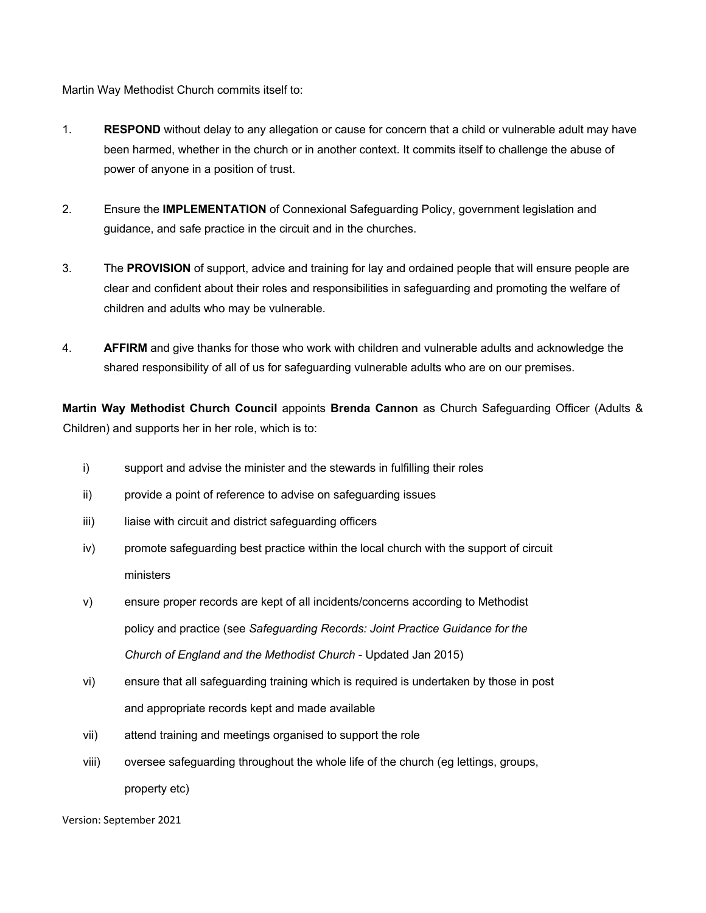Martin Way Methodist Church commits itself to:

- 1. **RESPOND** without delay to any allegation or cause for concern that a child or vulnerable adult may have been harmed, whether in the church or in another context. It commits itself to challenge the abuse of power of anyone in a position of trust.
- 2. Ensure the **IMPLEMENTATION** of Connexional Safeguarding Policy, government legislation and guidance, and safe practice in the circuit and in the churches.
- 3. The **PROVISION** of support, advice and training for lay and ordained people that will ensure people are clear and confident about their roles and responsibilities in safeguarding and promoting the welfare of children and adults who may be vulnerable.
- 4. **AFFIRM** and give thanks for those who work with children and vulnerable adults and acknowledge the shared responsibility of all of us for safeguarding vulnerable adults who are on our premises.

**Martin Way Methodist Church Council** appoints **Brenda Cannon** as Church Safeguarding Officer (Adults & Children) and supports her in her role, which is to:

- i) support and advise the minister and the stewards in fulfilling their roles
- ii) provide a point of reference to advise on safeguarding issues
- iii) liaise with circuit and district safeguarding officers
- iv) promote safeguarding best practice within the local church with the support of circuit ministers
- v) ensure proper records are kept of all incidents/concerns according to Methodist policy and practice (see *Safeguarding Records: Joint Practice Guidance for the Church of England and the Methodist Church* - Updated Jan 2015)
- vi) ensure that all safeguarding training which is required is undertaken by those in post and appropriate records kept and made available
- vii) attend training and meetings organised to support the role
- viii) oversee safeguarding throughout the whole life of the church (eg lettings, groups, property etc)

Version: September 2021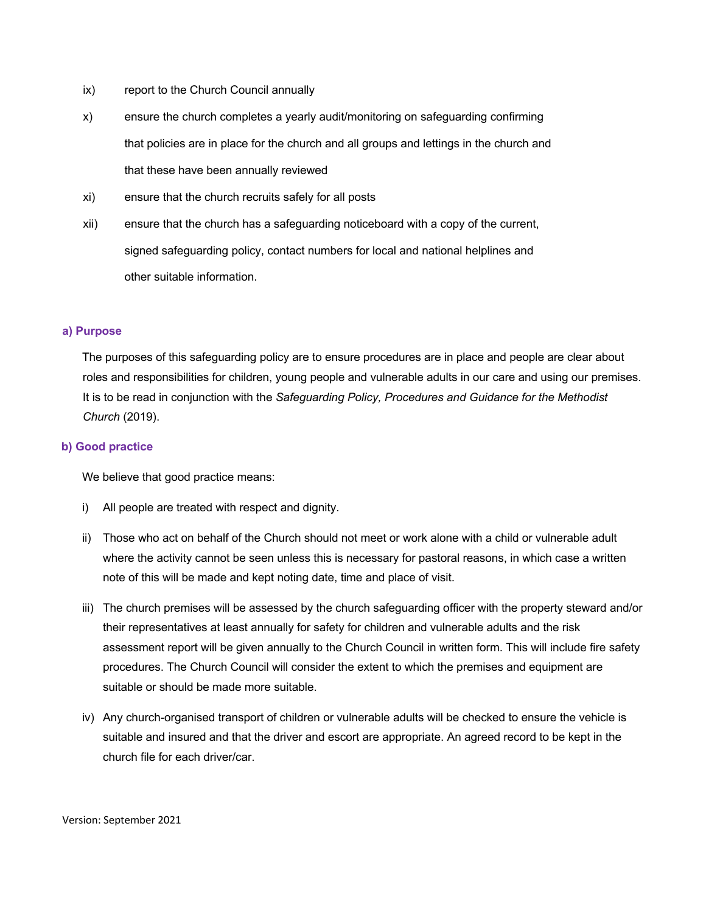- ix) report to the Church Council annually
- x) ensure the church completes a yearly audit/monitoring on safeguarding confirming that policies are in place for the church and all groups and lettings in the church and that these have been annually reviewed
- xi) ensure that the church recruits safely for all posts
- xii) ensure that the church has a safeguarding noticeboard with a copy of the current, signed safeguarding policy, contact numbers for local and national helplines and other suitable information.

#### **a) Purpose**

The purposes of this safeguarding policy are to ensure procedures are in place and people are clear about roles and responsibilities for children, young people and vulnerable adults in our care and using our premises. It is to be read in conjunction with the *Safeguarding Policy, Procedures and Guidance for the Methodist Church* (2019).

#### **b) Good practice**

We believe that good practice means:

- i) All people are treated with respect and dignity.
- ii) Those who act on behalf of the Church should not meet or work alone with a child or vulnerable adult where the activity cannot be seen unless this is necessary for pastoral reasons, in which case a written note of this will be made and kept noting date, time and place of visit.
- iii) The church premises will be assessed by the church safeguarding officer with the property steward and/or their representatives at least annually for safety for children and vulnerable adults and the risk assessment report will be given annually to the Church Council in written form. This will include fire safety procedures. The Church Council will consider the extent to which the premises and equipment are suitable or should be made more suitable.
- iv) Any church-organised transport of children or vulnerable adults will be checked to ensure the vehicle is suitable and insured and that the driver and escort are appropriate. An agreed record to be kept in the church file for each driver/car.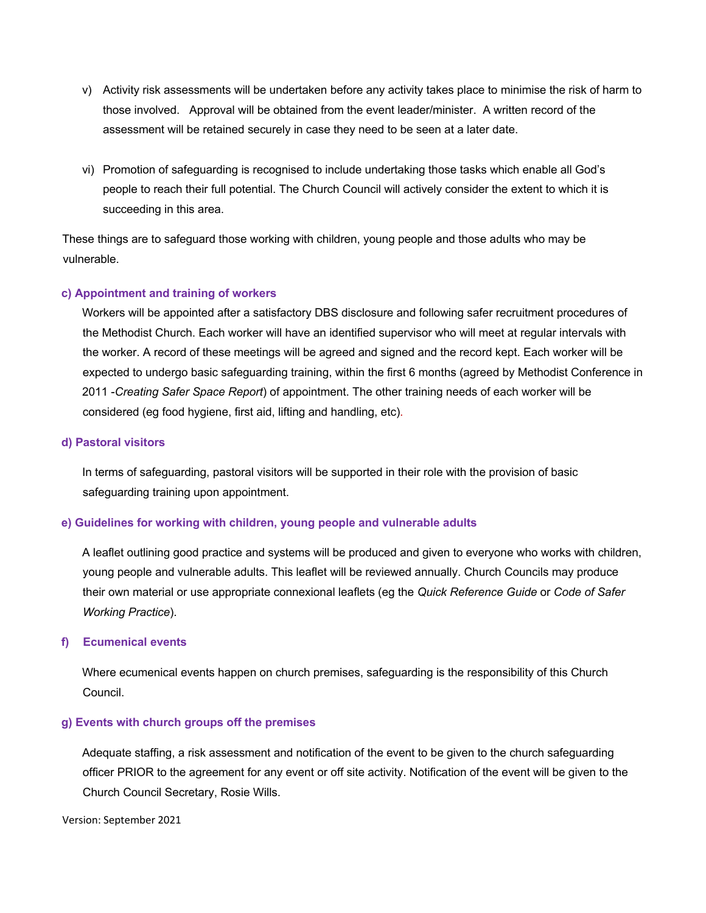- v) Activity risk assessments will be undertaken before any activity takes place to minimise the risk of harm to those involved. Approval will be obtained from the event leader/minister. A written record of the assessment will be retained securely in case they need to be seen at a later date.
- vi) Promotion of safeguarding is recognised to include undertaking those tasks which enable all God's people to reach their full potential. The Church Council will actively consider the extent to which it is succeeding in this area.

These things are to safeguard those working with children, young people and those adults who may be vulnerable.

### **c) Appointment and training of workers**

Workers will be appointed after a satisfactory DBS disclosure and following safer recruitment procedures of the Methodist Church. Each worker will have an identified supervisor who will meet at regular intervals with the worker. A record of these meetings will be agreed and signed and the record kept. Each worker will be expected to undergo basic safeguarding training, within the first 6 months (agreed by Methodist Conference in 2011 -*Creating Safer Space Report*) of appointment. The other training needs of each worker will be considered (eg food hygiene, first aid, lifting and handling, etc).

### **d) Pastoral visitors**

In terms of safeguarding, pastoral visitors will be supported in their role with the provision of basic safeguarding training upon appointment.

## **e) Guidelines for working with children, young people and vulnerable adults**

A leaflet outlining good practice and systems will be produced and given to everyone who works with children, young people and vulnerable adults. This leaflet will be reviewed annually. Church Councils may produce their own material or use appropriate connexional leaflets (eg the *Quick Reference Guide* or *Code of Safer Working Practice*).

### **f) Ecumenical events**

Where ecumenical events happen on church premises, safeguarding is the responsibility of this Church Council.

### **g) Events with church groups off the premises**

Adequate staffing, a risk assessment and notification of the event to be given to the church safeguarding officer PRIOR to the agreement for any event or off site activity. Notification of the event will be given to the Church Council Secretary, Rosie Wills.

Version: September 2021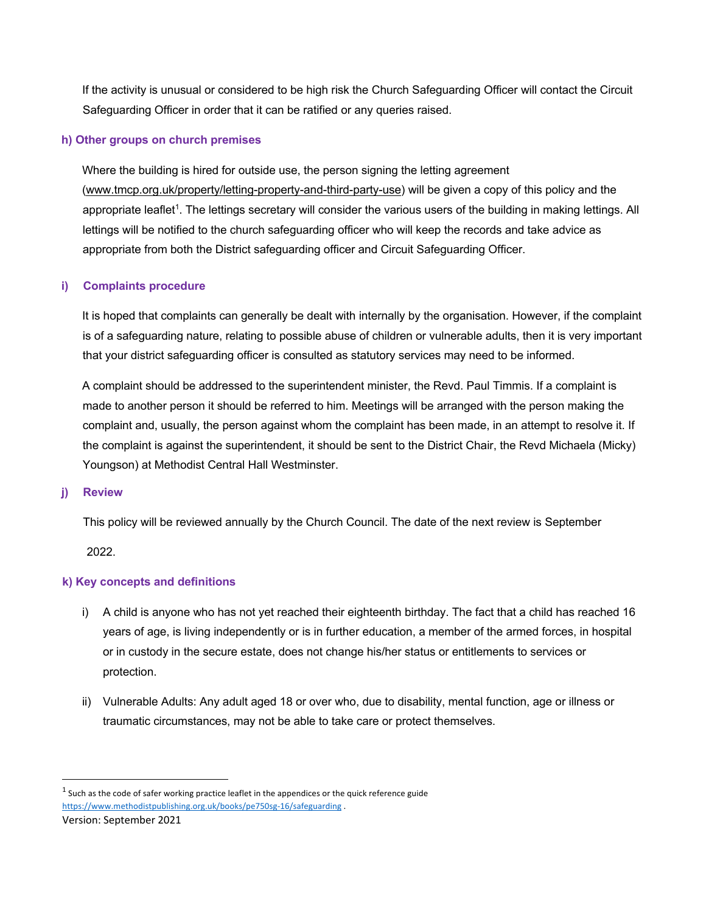If the activity is unusual or considered to be high risk the Church Safeguarding Officer will contact the Circuit Safeguarding Officer in order that it can be ratified or any queries raised.

### **h) Other groups on church premises**

Where the building is hired for outside use, the person signing the letting agreement (www.tmcp.org.uk/property/letting-property-and-third-party-use) will be given a copy of this policy and the appropriate leaflet<sup>1</sup>. The lettings secretary will consider the various users of the building in making lettings. All lettings will be notified to the church safeguarding officer who will keep the records and take advice as appropriate from both the District safeguarding officer and Circuit Safeguarding Officer.

## **i) Complaints procedure**

It is hoped that complaints can generally be dealt with internally by the organisation. However, if the complaint is of a safeguarding nature, relating to possible abuse of children or vulnerable adults, then it is very important that your district safeguarding officer is consulted as statutory services may need to be informed.

A complaint should be addressed to the superintendent minister, the Revd. Paul Timmis. If a complaint is made to another person it should be referred to him. Meetings will be arranged with the person making the complaint and, usually, the person against whom the complaint has been made, in an attempt to resolve it. If the complaint is against the superintendent, it should be sent to the District Chair, the Revd Michaela (Micky) Youngson) at Methodist Central Hall Westminster.

### **j) Review**

This policy will be reviewed annually by the Church Council. The date of the next review is September

2022.

## **k) Key concepts and definitions**

- i) A child is anyone who has not yet reached their eighteenth birthday. The fact that a child has reached 16 years of age, is living independently or is in further education, a member of the armed forces, in hospital or in custody in the secure estate, does not change his/her status or entitlements to services or protection.
- ii) Vulnerable Adults: Any adult aged 18 or over who, due to disability, mental function, age or illness or traumatic circumstances, may not be able to take care or protect themselves.

 $1$  Such as the code of safer working practice leaflet in the appendices or the quick reference guide https://www.methodistpublishing.org.uk/books/pe750sg-16/safeguarding .

Version: September 2021